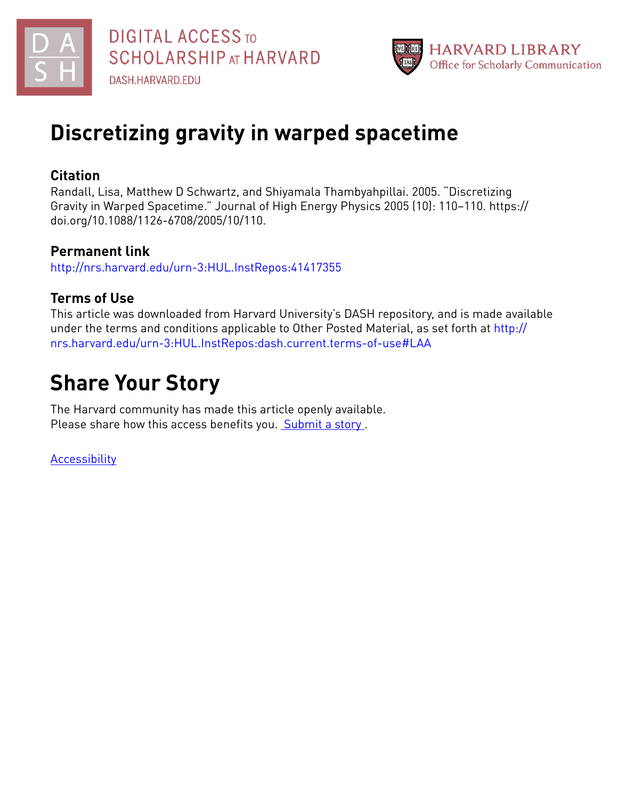



## **Discretizing gravity in warped spacetime**

### **Citation**

Randall, Lisa, Matthew D Schwartz, and Shiyamala Thambyahpillai. 2005. "Discretizing Gravity in Warped Spacetime." Journal of High Energy Physics 2005 (10): 110–110. https:// doi.org/10.1088/1126-6708/2005/10/110.

### **Permanent link**

<http://nrs.harvard.edu/urn-3:HUL.InstRepos:41417355>

## **Terms of Use**

This article was downloaded from Harvard University's DASH repository, and is made available under the terms and conditions applicable to Other Posted Material, as set forth at [http://](http://nrs.harvard.edu/urn-3:HUL.InstRepos:dash.current.terms-of-use#LAA) [nrs.harvard.edu/urn-3:HUL.InstRepos:dash.current.terms-of-use#LAA](http://nrs.harvard.edu/urn-3:HUL.InstRepos:dash.current.terms-of-use#LAA)

# **Share Your Story**

The Harvard community has made this article openly available. Please share how this access benefits you. [Submit](http://osc.hul.harvard.edu/dash/open-access-feedback?handle=&title=Discretizing%20gravity%20in%20warped%20spacetime&community=1/1&collection=1/2&owningCollection1/2&harvardAuthors=98f2ce9f315101bfb92d4c0349143010&department) a story .

**[Accessibility](https://dash.harvard.edu/pages/accessibility)**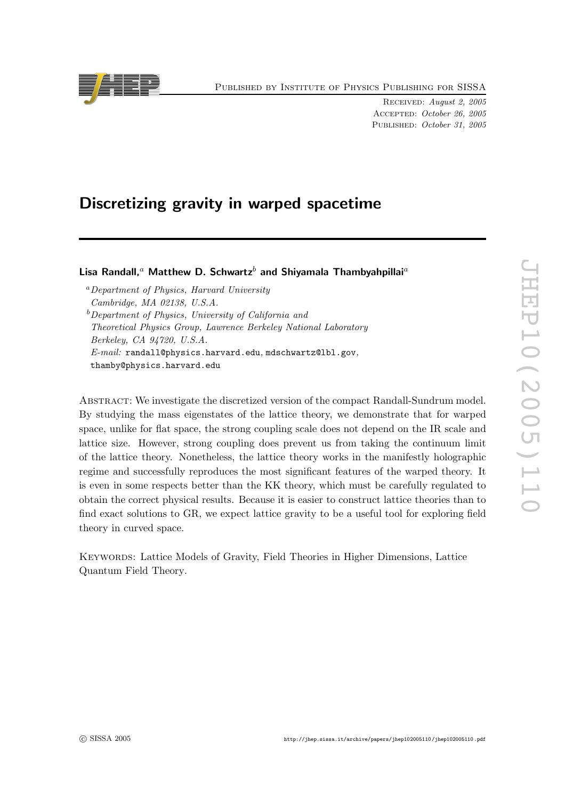

Published by Institute of Physics Publishing for SISSA

Received: August 2, 2005 Accepted: October 26, 2005 PUBLISHED: October 31, 2005

## Discretizing gravity in warped spacetime

Lisa Randall, $^a$  Matthew D. Schwartz $^b$  and Shiyamala Thambyahpillai $^a$ 

<sup>a</sup>Department of Physics, Harvard University Cambridge, MA 02138, U.S.A.  $b$ Department of Physics, University of California and Theoretical Physics Group, Lawrence Berkeley National Laboratory Berkeley, CA 94720, U.S.A.  $E\text{-}mail:$  [randall@physics.harvard.edu](mailto:randall@physics.harvard.edu), [mdschwartz@lbl.gov](mailto:mdschwartz@lbl.gov), [thamby@physics.harvard.edu](mailto:thamby@physics.harvard.edu)

Abstract: We investigate the discretized version of the compact Randall-Sundrum model. By studying the mass eigenstates of the lattice theory, we demonstrate that for warped space, unlike for flat space, the strong coupling scale does not depend on the IR scale and lattice size. However, strong coupling does prevent us from taking the continuum limit of the lattice theory. Nonetheless, the lattice theory works in the manifestly holographic regime and successfully reproduces the most significant features of the warped theory. It is even in some respects better than the KK theory, which must be carefully regulated to obtain the correct physical results. Because it is easier to construct lattice theories than to find exact solutions to GR, we expect lattice gravity to be a useful tool for exploring field theory in curved space.

Keywords: [Lattice Models of Gravity, Field Theories in Higher Dimensions, Lattice](http://jhep.sissa.it/stdsearch) [Quantum Field Theory](http://jhep.sissa.it/stdsearch).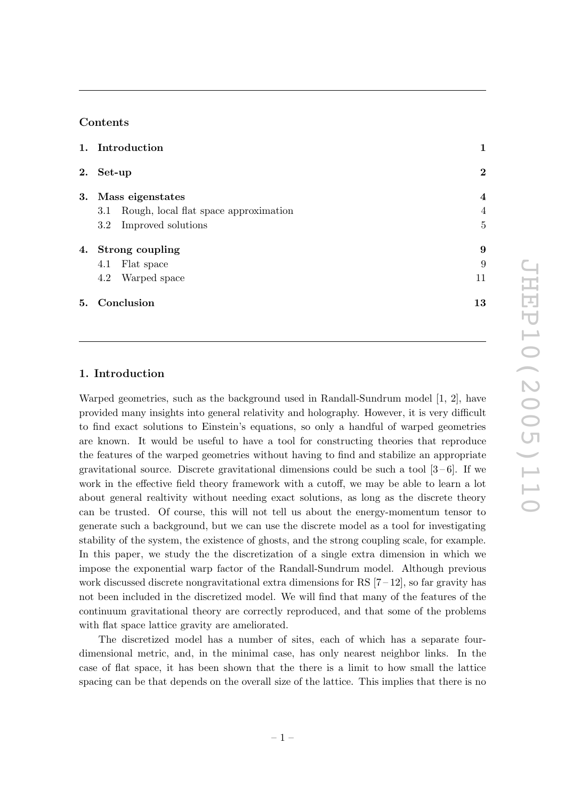#### **Contents**

|    | 1. Introduction                              | 1                       |
|----|----------------------------------------------|-------------------------|
| 2. | Set-up                                       | $\bf{2}$                |
| 3. | Mass eigenstates                             | $\overline{\mathbf{4}}$ |
|    | Rough, local flat space approximation<br>3.1 | $\overline{4}$          |
|    | Improved solutions<br>$3.2\phantom{0}$       | $\overline{5}$          |
| 4. | Strong coupling                              | 9                       |
|    | Flat space<br>4.1                            | 9                       |
|    | Warped space<br>4.2                          | 11                      |
| 5. | Conclusion                                   | 13                      |

#### 1. Introduction

Warped geometries, such as the background used in Randall-Sundrum model [\[1, 2](#page-15-0)], have provided many insights into general relativity and holography. However, it is very di fficult to find exact solutions to Einstein's equations, so only a handful of warped geometries are known. It would be useful to have a tool for constructing theories that reproduce the features of the warped geometries without having to find and stabilize an appropriate gravitational source. Discrete gravitational dimensions could be such a tool  $[3-6]$  $[3-6]$  $[3-6]$ . If we work in the e ffective field theory framework with a cuto ff, we may be able to learn a lot about general realtivity without needing exact solutions, as long as the discrete theory can be trusted. Of course, this will not tell us about the energy-momentum tensor to generate such a background, but we can use the discrete model as a tool for investigating stability of the system, the existence of ghosts, and the strong coupling scale, for example. In this paper, we study the the discretization of a single extra dimension in which we impose the exponential warp factor of the Randall-Sundrum model. Although previous work discussed discrete nongravitational extra dimensions for RS  $[7-12]$  $[7-12]$ , so far gravity has not been included in the discretized model. We will find that many of the features of the continuum gravitational theory are correctly reproduced, and that some of the problems with flat space lattice gravity are ameliorated.

The discretized model has a number of sites, each of which has a separate fourdimensional metric, and, in the minimal case, has only nearest neighbor links. In the case of flat space, it has been shown that the there is a limit to how small the lattice spacing can be that depends on the overall size of the lattice. This implies that there is no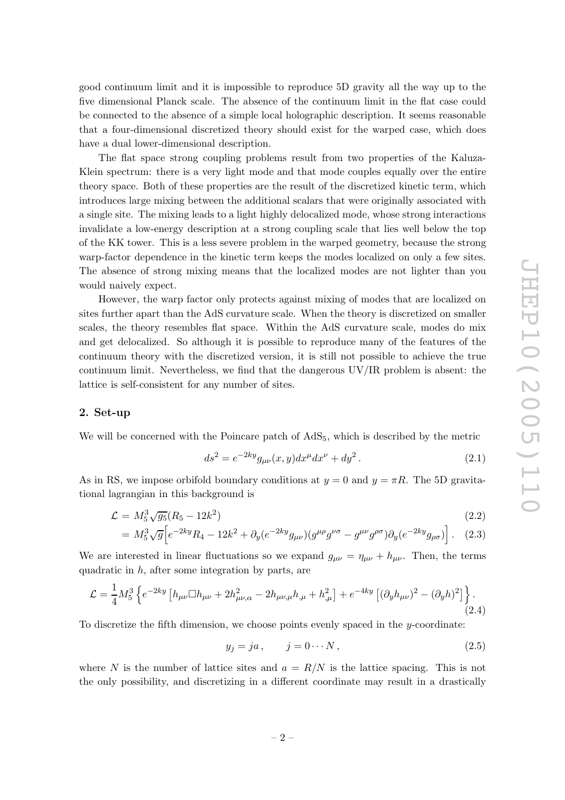<span id="page-3-0"></span>good continuum limit and it is impossible to reproduce 5D gravity all the way up to the five dimensional Planck scale. The absence of the continuum limit in the flat case could be connected to the absence of a simple local holographic description. It seems reasonable that a four-dimensional discretized theory should exist for the warped case, which does have a dual lower-dimensional description.

The flat space strong coupling problems result from two properties of the Kaluza-Klein spectrum: there is a very light mode and that mode couples equally over the entire theory space. Both of these properties are the result of the discretized kinetic term, which introduces large mixing between the additional scalars that were originally associated with a single site. The mixing leads to a light highly delocalized mode, whose strong interactions invalidate a low-energy description at a strong coupling scale that lies well below the top of the KK tower. This is a less severe problem in the warped geometry, because the strong warp-factor dependence in the kinetic term keeps the modes localized on only a few sites. The absence of strong mixing means that the localized modes are not lighter than you would naively expect.

However, the warp factor only protects against mixing of modes that are localized on sites further apart than the AdS curvature scale. When the theory is discretized on smaller scales, the theory resembles flat space. Within the AdS curvature scale, modes do mix and get delocalized. So although it is possible to reproduce many of the features of the continuum theory with the discretized version, it is still not possible to achieve the true continuum limit. Nevertheless, we find that the dangerous UV/IR problem is absent: the lattice is self-consistent for any number of sites.

#### 2. Set-up

We will be concerned with the Poincare patch of  $AdS_5$ , which is described by the metric

$$
ds^{2} = e^{-2ky} g_{\mu\nu}(x, y) dx^{\mu} dx^{\nu} + dy^{2}.
$$
 (2.1)

As in RS, we impose orbifold boundary conditions at  $y = 0$  and  $y = \pi R$ . The 5D gravitational lagrangian in this background is

$$
\mathcal{L} = M_5^3 \sqrt{g_5} (R_5 - 12k^2) \tag{2.2}
$$

$$
= M_5^3 \sqrt{g} \Big[ e^{-2ky} R_4 - 12k^2 + \partial_y (e^{-2ky} g_{\mu\nu}) (g^{\mu\rho} g^{\nu\sigma} - g^{\mu\nu} g^{\rho\sigma}) \partial_y (e^{-2ky} g_{\rho\sigma}) \Big]. \tag{2.3}
$$

We are interested in linear fluctuations so we expand  $g_{\mu\nu} = \eta_{\mu\nu} + h_{\mu\nu}$ . Then, the terms quadratic in h, after some integration by parts, are

$$
\mathcal{L} = \frac{1}{4} M_5^3 \left\{ e^{-2ky} \left[ h_{\mu\nu} \Box h_{\mu\nu} + 2h_{\mu\nu,\alpha}^2 - 2h_{\mu\nu,\mu}h_{,\mu} + h_{,\mu}^2 \right] + e^{-4ky} \left[ (\partial_y h_{\mu\nu})^2 - (\partial_y h)^2 \right] \right\}.
$$
\n(2.4)

To discretize the fifth dimension, we choose points evenly spaced in the y-coordinate:

$$
y_j = ja, \qquad j = 0 \cdots N, \tag{2.5}
$$

where N is the number of lattice sites and  $a = R/N$  is the lattice spacing. This is not the only possibility, and discretizing in a di fferent coordinate may result in a drastically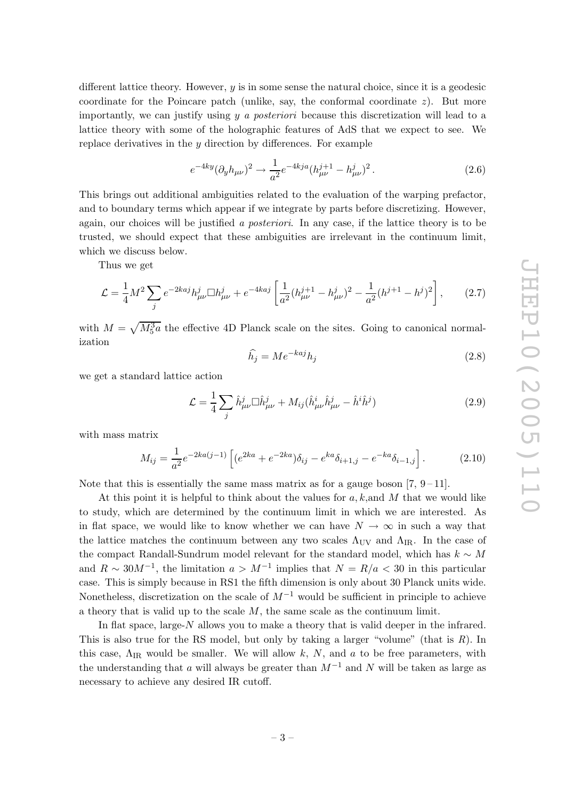different lattice theory. However, y is in some sense the natural choice, since it is a geodesic coordinate for the Poincare patch (unlike, say, the conformal coordinate z). But more importantly, we can justify using y a posteriori because this discretization will lead to a lattice theory with some of the holographic features of AdS that we expect to see. We replace derivatives in the  $y$  direction by differences. For example

$$
e^{-4ky} (\partial_y h_{\mu\nu})^2 \to \frac{1}{a^2} e^{-4kja} (h_{\mu\nu}^{j+1} - h_{\mu\nu}^j)^2.
$$
 (2.6)

This brings out additional ambiguities related to the evaluation of the warping prefactor, and to boundary terms which appear if we integrate by parts before discretizing. However, again, our choices will be justified a posteriori. In any case, if the lattice theory is to be trusted, we should expect that these ambiguities are irrelevant in the continuum limit, which we discuss below.

Thus we get

$$
\mathcal{L} = \frac{1}{4} M^2 \sum_{j} e^{-2kaj} h_{\mu\nu}^j \Box h_{\mu\nu}^j + e^{-4kaj} \left[ \frac{1}{a^2} (h_{\mu\nu}^{j+1} - h_{\mu\nu}^j)^2 - \frac{1}{a^2} (h^{j+1} - h^j)^2 \right],\tag{2.7}
$$

with  $M = \sqrt{M_5^3 a}$  the effective 4D Planck scale on the sites. Going to canonical normalization

$$
\widehat{h_j} = Me^{-kaj}h_j \tag{2.8}
$$

we get a standard lattice action

$$
\mathcal{L} = \frac{1}{4} \sum_{j} \hat{h}^{j}_{\mu\nu} \Box \hat{h}^{j}_{\mu\nu} + M_{ij} (\hat{h}^{i}_{\mu\nu} \hat{h}^{j}_{\mu\nu} - \hat{h}^{i} \hat{h}^{j})
$$
(2.9)

with mass matrix

$$
M_{ij} = \frac{1}{a^2} e^{-2ka(j-1)} \left[ (e^{2ka} + e^{-2ka}) \delta_{ij} - e^{ka} \delta_{i+1,j} - e^{-ka} \delta_{i-1,j} \right]. \tag{2.10}
$$

Note that this is essentially the same mass matrix as for a gauge boson  $(7, 9-11)$  $(7, 9-11)$  $(7, 9-11)$ .

At this point it is helpful to think about the values for  $a, k$ , and M that we would like to study, which are determined by the continuum limit in which we are interested. As in flat space, we would like to know whether we can have  $N \to \infty$  in such a way that the lattice matches the continuum between any two scales  $\Lambda_{UV}$  and  $\Lambda_{IR}$ . In the case of the compact Randall-Sundrum model relevant for the standard model, which has  $k \sim M$ and  $R \sim 30M^{-1}$ , the limitation  $a > M^{-1}$  implies that  $N = R/a < 30$  in this particular case. This is simply because in RS1 the fifth dimension is only about 30 Planck units wide. Nonetheless, discretization on the scale of  $M^{-1}$  would be sufficient in principle to achieve a theory that is valid up to the scale M, the same scale as the continuum limit.

In flat space, large-N allows you to make a theory that is valid deeper in the infrared. This is also true for the RS model, but only by taking a larger "volume" (that is  $R$ ). In this case,  $\Lambda_{IR}$  would be smaller. We will allow k, N, and a to be free parameters, with the understanding that a will always be greater than  $M^{-1}$  and N will be taken as large as necessary to achieve any desired IR cutoff.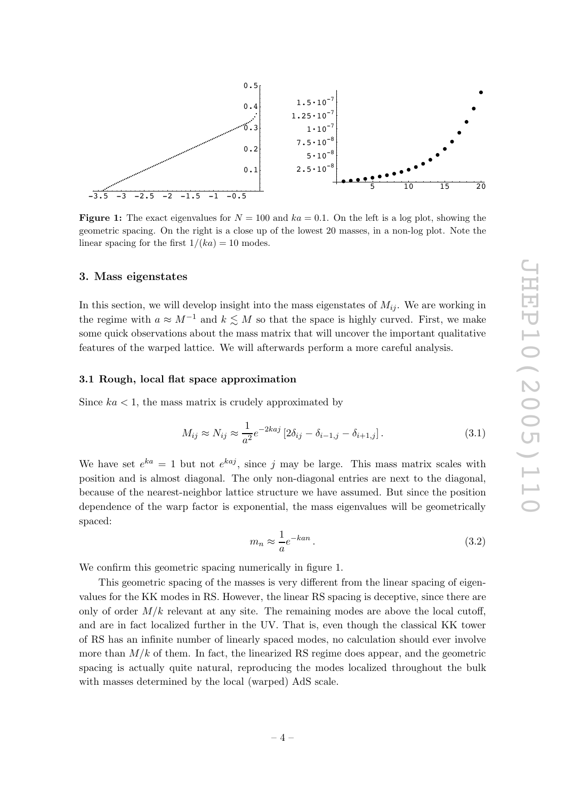<span id="page-5-0"></span>

**Figure 1:** The exact eigenvalues for  $N = 100$  and  $ka = 0.1$ . On the left is a log plot, showing the geometric spacing. On the right is a close up of the lowest 20 masses, in a non-log plot. Note the linear spacing for the first  $1/(ka) = 10$  modes.

#### 3. Mass eigenstates

In this section, we will develop insight into the mass eigenstates of  $M_{ij}$ . We are working in the regime with  $a \approx M^{-1}$  and  $k \lesssim M$  so that the space is highly curved. First, we make some quick observations about the mass matrix that will uncover the important qualitative features of the warped lattice. We will afterwards perform a more careful analysis.

#### 3.1 Rough, local flat space approximation

Since  $ka < 1$ , the mass matrix is crudely approximated by

$$
M_{ij} \approx N_{ij} \approx \frac{1}{a^2} e^{-2kaj} \left[ 2\delta_{ij} - \delta_{i-1,j} - \delta_{i+1,j} \right]. \tag{3.1}
$$

We have set  $e^{ka} = 1$  but not  $e^{kaj}$ , since j may be large. This mass matrix scales with position and is almost diagonal. The only non-diagonal entries are next to the diagonal, because of the nearest-neighbor lattice structure we have assumed. But since the position dependence of the warp factor is exponential, the mass eigenvalues will be geometrically spaced:

$$
m_n \approx \frac{1}{a} e^{-kan} \,. \tag{3.2}
$$

We confirm this geometric spacing numerically in figure 1.

This geometric spacing of the masses is very di fferent from the linear spacing of eigenvalues for the KK modes in RS. However, the linear RS spacing is deceptive, since there are only of order  $M/k$  relevant at any site. The remaining modes are above the local cutoff, and are in fact localized further in the UV. That is, even though the classical KK tower of RS has an infinite number of linearly spaced modes, no calculation should ever involve more than  $M/k$  of them. In fact, the linearized RS regime does appear, and the geometric spacing is actually quite natural, reproducing the modes localized throughout the bulk with masses determined by the local (warped) AdS scale.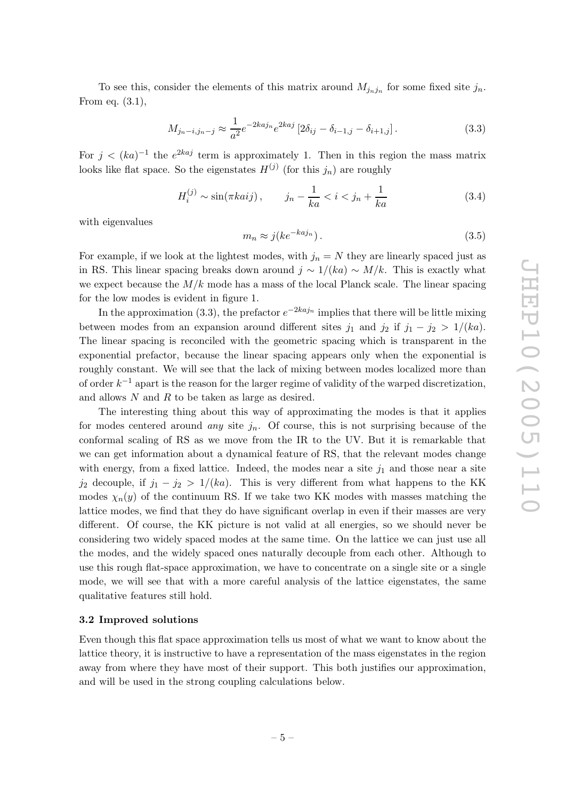<span id="page-6-0"></span>To see this, consider the elements of this matrix around  $M_{j_n j_n}$  for some fixed site  $j_n$ . From eq. [\(3.1](#page-5-0)),

$$
M_{j_n-i,j_n-j} \approx \frac{1}{a^2} e^{-2kaj_n} e^{2kaj} \left[ 2\delta_{ij} - \delta_{i-1,j} - \delta_{i+1,j} \right]. \tag{3.3}
$$

For  $j < (ka)^{-1}$  the  $e^{2kaj}$  term is approximately 1. Then in this region the mass matrix looks like flat space. So the eigenstates  $H^{(j)}$  (for this  $j_n$ ) are roughly

$$
H_i^{(j)} \sim \sin(\pi k a i j), \qquad j_n - \frac{1}{k a} < i < j_n + \frac{1}{k a} \tag{3.4}
$$

with eigenvalues

$$
n_n \approx j(ke^{-kaj_n}).\tag{3.5}
$$

For example, if we look at the lightest modes, with  $j_n = N$  they are linearly spaced just as in RS. This linear spacing breaks down around  $j \sim 1/(ka) \sim M/k$ . This is exactly what we expect because the  $M/k$  mode has a mass of the local Planck scale. The linear spacing for the low modes is evident in figure [1.](#page-5-0)

m

In the approximation (3.3), the prefactor  $e^{-2kaj_n}$  implies that there will be little mixing between modes from an expansion around different sites  $j_1$  and  $j_2$  if  $j_1 - j_2 > 1/(ka)$ . The linear spacing is reconciled with the geometric spacing which is transparent in the exponential prefactor, because the linear spacing appears only when the exponential is roughly constant. We will see that the lack of mixing between modes localized more than of order  $k^{-1}$  apart is the reason for the larger regime of validity of the warped discretization, and allows N and R to be taken as large as desired.

The interesting thing about this way of approximating the modes is that it applies for modes centered around *any* site  $j_n$ . Of course, this is not surprising because of the conformal scaling of RS as we move from the IR to the UV. But it is remarkable that we can get information about a dynamical feature of RS, that the relevant modes change with energy, from a fixed lattice. Indeed, the modes near a site  $j_1$  and those near a site  $j_2$  decouple, if  $j_1 - j_2 > 1/(ka)$ . This is very different from what happens to the KK modes  $\chi_n(y)$  of the continuum RS. If we take two KK modes with masses matching the lattice modes, we find that they do have significant overlap in even if their masses are very di fferent. Of course, the KK picture is not valid at all energies, so we should never be considering two widely spaced modes at the same time. On the lattice we can just use all the modes, and the widely spaced ones naturally decouple from each other. Although to use this rough flat-space approximation, we have to concentrate on a single site or a single mode, we will see that with a more careful analysis of the lattice eigenstates, the same qualitative features still hold.

#### 3.2 Improved solutions

Even though this flat space approximation tells us most of what we want to know about the lattice theory, it is instructive to have a representation of the mass eigenstates in the region away from where they have most of their support. This both justifies our approximation, and will be used in the strong coupling calculations below.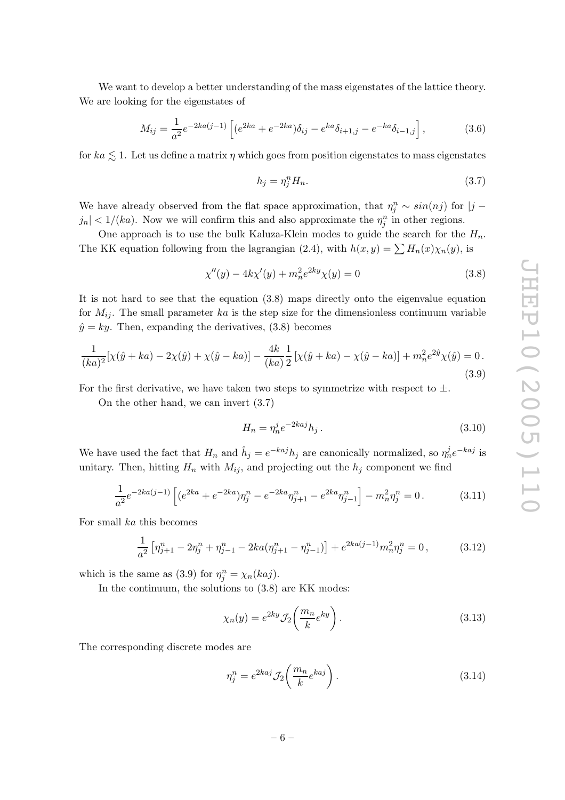<span id="page-7-0"></span>We want to develop a better understanding of the mass eigenstates of the lattice theory. We are looking for the eigenstates of

$$
M_{ij} = \frac{1}{a^2} e^{-2ka(j-1)} \left[ (e^{2ka} + e^{-2ka}) \delta_{ij} - e^{ka} \delta_{i+1,j} - e^{-ka} \delta_{i-1,j} \right],
$$
 (3.6)

for  $ka \lesssim 1$ . Let us define a matrix  $\eta$  which goes from position eigenstates to mass eigenstates

$$
h_j = \eta_j^n H_n. \tag{3.7}
$$

We have already observed from the flat space approximation, that  $\eta_j^n \sim \sin(nj)$  for  $|j |j_n| < 1/(ka)$ . Now we will confirm this and also approximate the  $\eta_j^n$  in other regions.

One approach is to use the bulk Kaluza-Klein modes to guide the search for the  $H_n$ . The KK equation following from the lagrangian [\(2.4\)](#page-3-0), with  $h(x,y) = \sum H_n(x)\chi_n(y)$ , is

$$
\chi''(y) - 4k\chi'(y) + m_n^2 e^{2ky}\chi(y) = 0
$$
\n(3.8)

It is not hard to see that the equation (3.8) maps directly onto the eigenvalue equation for  $M_{ij}$ . The small parameter ka is the step size for the dimensionless continuum variable  $\hat{y} = ky$ . Then, expanding the derivatives, (3.8) becomes

$$
\frac{1}{(ka)^2}[\chi(\hat{y}+ka)-2\chi(\hat{y})+\chi(\hat{y}-ka)] - \frac{4k}{(ka)}\frac{1}{2}[\chi(\hat{y}+ka)-\chi(\hat{y}-ka)] + m_n^2e^{2\hat{y}}\chi(\hat{y}) = 0.
$$
\n(3.9)

For the first derivative, we have taken two steps to symmetrize with respect to  $\pm$ .

On the other hand, we can invert (3.7)

$$
H_n = \eta_n^j e^{-2kaj} h_j. \tag{3.10}
$$

We have used the fact that  $H_n$  and  $\hat{h}_j = e^{-kaj} h_j$  are canonically normalized, so  $\eta_n^j e^{-kaj}$  is unitary. Then, hitting  $H_n$  with  $M_{ij}$ , and projecting out the  $h_j$  component we find

$$
\frac{1}{a^2}e^{-2ka(j-1)}\left[ (e^{2ka} + e^{-2ka})\eta_j^n - e^{-2ka}\eta_{j+1}^n - e^{2ka}\eta_{j-1}^n \right] - m_n^2\eta_j^n = 0.
$$
 (3.11)

For small ka this becomes

$$
\frac{1}{a^2} \left[ \eta_{j+1}^n - 2\eta_j^n + \eta_{j-1}^n - 2ka(\eta_{j+1}^n - \eta_{j-1}^n) \right] + e^{2ka(j-1)} m_n^2 \eta_j^n = 0, \qquad (3.12)
$$

which is the same as (3.9) for  $\eta_j^n = \chi_n(kaj)$ .

In the continuum, the solutions to  $(3.8)$  are KK modes:

$$
\chi_n(y) = e^{2ky} \mathcal{J}_2\left(\frac{m_n}{k} e^{ky}\right). \tag{3.13}
$$

The corresponding discrete modes are

$$
\eta_j^n = e^{2kaj} \mathcal{J}_2\left(\frac{m_n}{k} e^{kaj}\right). \tag{3.14}
$$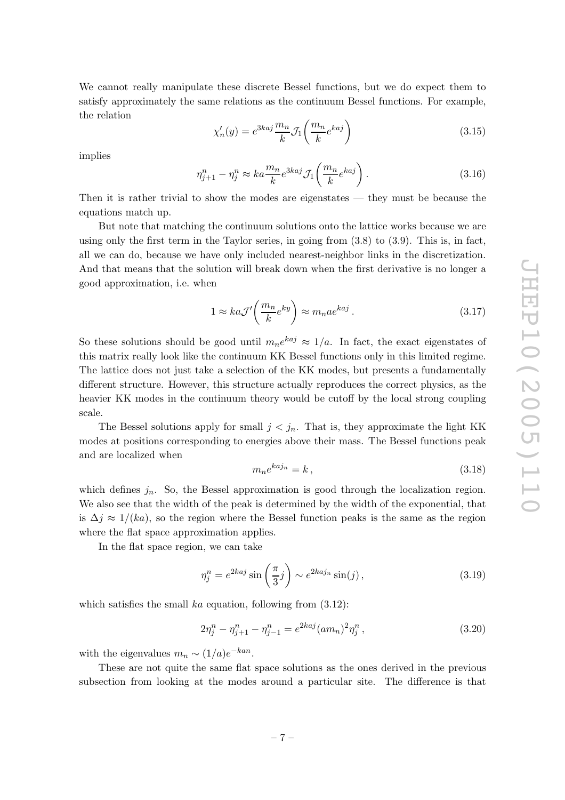We cannot really manipulate these discrete Bessel functions, but we do expect them to satisfy approximately the same relations as the continuum Bessel functions. For example, the relation

$$
\chi'_n(y) = e^{3kaj} \frac{m_n}{k} \mathcal{J}_1\left(\frac{m_n}{k} e^{kaj}\right) \tag{3.15}
$$

implies

$$
\eta_{j+1}^n - \eta_j^n \approx ka \frac{m_n}{k} e^{3kaj} \mathcal{J}_1\left(\frac{m_n}{k} e^{kaj}\right). \tag{3.16}
$$

Then it is rather trivial to show the modes are eigenstates — they must be because the equations match up.

But note that matching the continuum solutions onto the lattice works because we are using only the first term in the Taylor series, in going from ([3.8](#page-7-0)) to [\(3.9\)](#page-7-0). This is, in fact, all we can do, because we have only included nearest-neighbor links in the discretization. And that means that the solution will break down when the first derivative is no longer a good approximation, i.e. when1

$$
1 \approx ka\mathcal{J}'\left(\frac{m_n}{k}e^{ky}\right) \approx m_n a e^{kaj} \,. \tag{3.17}
$$

So these solutions should be good until  $m_n e^{kaj} \approx 1/a$ . In fact, the exact eigenstates of this matrix really look like the continuum KK Bessel functions only in this limited regime. The lattice does not just take a selection of the KK modes, but presents a fundamentally di fferent structure. However, this structure actually reproduces the correct physics, as the heavier KK modes in the continuum theory would be cutoff by the local strong coupling scale.

The Bessel solutions apply for small  $j < j_n$ . That is, they approximate the light KK modes at positions corresponding to energies above their mass. The Bessel functions peak and are localized when

$$
m_n e^{ka j_n} = k \,, \tag{3.18}
$$

which defines  $j_n$ . So, the Bessel approximation is good through the localization region. We also see that the width of the peak is determined by the width of the exponential, that is  $\Delta j \approx 1/(ka)$ , so the region where the Bessel function peaks is the same as the region where the flat space approximation applies.

In the flat space region, we can take

$$
\eta_j^n = e^{2kaj} \sin\left(\frac{\pi}{3}j\right) \sim e^{2kaj_n} \sin(j),\tag{3.19}
$$

which satisfies the small  $ka$  equation, following from  $(3.12)$  $(3.12)$ :

$$
2\eta_j^n - \eta_{j+1}^n - \eta_{j-1}^n = e^{2kaj} (am_n)^2 \eta_j^n , \qquad (3.20)
$$

with the eigenvalues  $m_n \sim (1/a)e^{-kan}$ .

These are not quite the same flat space solutions as the ones derived in the previous subsection from looking at the modes around a particular site. The difference is that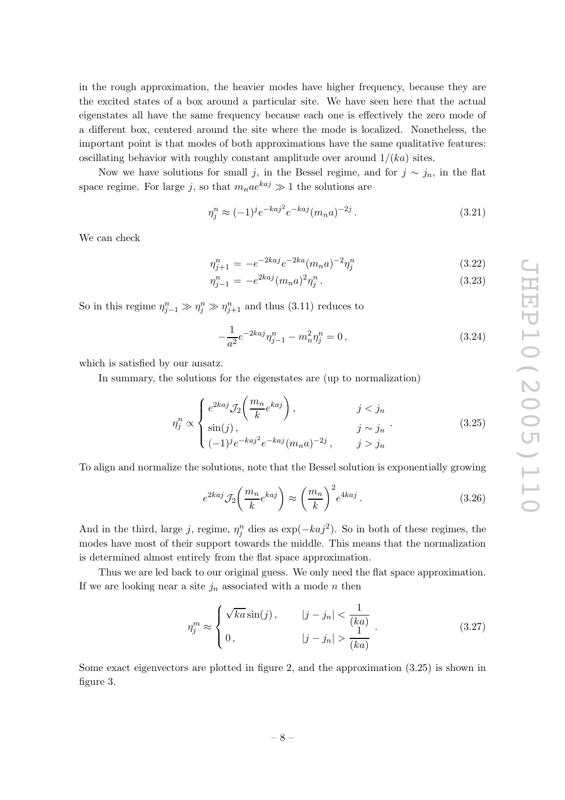<span id="page-9-0"></span>in the rough approximation, the heavier modes have higher frequency, because they are the excited states of a box around a particular site. We have seen here that the actual eigenstates all have the same frequency because each one is e ffectively the zero mode of a di fferent box, centered around the site where the mode is localized. Nonetheless, the important point is that modes of both approximations have the same qualitative features: oscillating behavior with roughly constant amplitude over around  $1/(ka)$  sites.

Now we have solutions for small j, in the Bessel regime, and for  $j \sim j_n$ , in the flat space regime. For large  $j$ , so that  $m_n a e^{k a j} \gg 1$  the solutions are

$$
\eta_j^n \approx (-1)^j e^{-kaj^2} e^{-kaj} (m_n a)^{-2j} . \tag{3.21}
$$

We can check

$$
\eta_{j+1}^n = -e^{-2ka}i e^{-2ka} (m_n a)^{-2} \eta_j^n \tag{3.22}
$$

$$
\eta_{j-1}^n = -e^{2kaj}(m_n a)^2 \eta_j^n. \tag{3.23}
$$

So in this regime  $\eta_{j-1}^n \gg \eta_{j}^n \gg \eta_{j+1}^n$  and thus [\(3.11\)](#page-7-0) reduces to

$$
-\frac{1}{a^2}e^{-2kaj}\eta_{j-1}^n - m_n^2\eta_j^n = 0,
$$
\n(3.24)

which is satisfied by our ansatz.

In summary, the solutions for the eigenstates are (up to normalization)

$$
\eta_j^n \propto \begin{cases} e^{2kaj} \mathcal{J}_2\left(\frac{m_n}{k} e^{kaj}\right), & j < j_n \\ \sin(j), & j \sim j_n \\ (-1)^j e^{-kaj^2} e^{-kaj} (m_n a)^{-2j}, & j > j_n \end{cases}
$$
(3.25)

To align and normalize the solutions, note that the Bessel solution is exponentially growing

$$
e^{2kaj} \mathcal{J}_2\left(\frac{m_n}{k} e^{kaj}\right) \approx \left(\frac{m_n}{k}\right)^2 e^{4kaj} \,. \tag{3.26}
$$

And in the third, large j, regime,  $\eta_j^n$  dies as  $\exp(-ka_j^2)$ . So in both of these regimes, the modes have most of their support towards the middle. This means that the normalization is determined almost entirely from the flat space approximation.

Thus we are led back to our original guess. We only need the flat space approximation. If we are looking near a site  $j_n$  associated with a mode n then

$$
\eta_j^m \approx \begin{cases} \sqrt{ka}\sin(j), & |j - j_n| < \frac{1}{(ka)}\\ 0, & |j - j_n| > \frac{1}{(ka)} \end{cases} \tag{3.27}
$$

Some exact eigenvectors are plotted in figure [2](#page-10-0), and the approximation (3.25) is shown in figure [3](#page-10-0).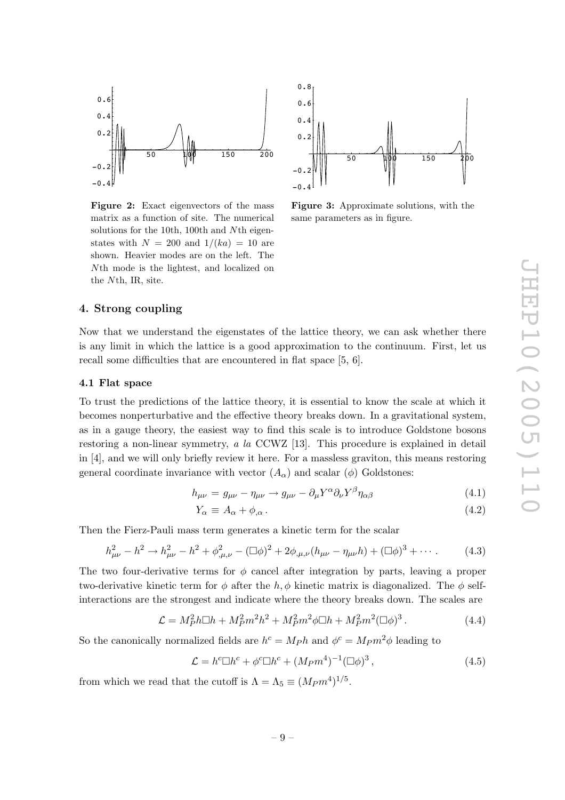<span id="page-10-0"></span>

Figure 2: Exact eigenvectors of the mass matrix as a function of site. The numerical solutions for the 10th, 100th and N<sup>th</sup> eigenstates with  $N = 200$  and  $1/(ka) = 10$  are shown. Heavier modes are on the left. The Nth mode is the lightest, and localized on the Nth, IR, site.



Figure 3: Approximate solutions, with the same parameters as in figure.

#### 4. Strong coupling

Now that we understand the eigenstates of the lattice theory, we can ask whether there is any limit in which the lattice is a good approximation to the continuum. First, let us recall some di fficulties that are encountered in flat space [\[5](#page-16-0), [6\]](#page-16-0).

#### 4.1 Flat space

To trust the predictions of the lattice theory, it is essential to know the scale at which it becomes nonperturbative and the e ffective theory breaks down. In a gravitational system, as in a gauge theory, the easiest way to find this scale is to introduce Goldstone bosons restoring a non-linear symmetry, a la CCWZ [\[13\]](#page-16-0). This procedure is explained in detail in [[4](#page-15-0)], and we will only briefly review it here. For a massless graviton, this means restoring general coordinate invariance with vector  $(A_{\alpha})$  and scalar  $(\phi)$  Goldstones:

$$
h_{\mu\nu} = g_{\mu\nu} - \eta_{\mu\nu} \to g_{\mu\nu} - \partial_{\mu} Y^{\alpha} \partial_{\nu} Y^{\beta} \eta_{\alpha\beta} \tag{4.1}
$$

$$
Y_{\alpha} \equiv A_{\alpha} + \phi_{,\alpha} \,. \tag{4.2}
$$

Then the Fierz-Pauli mass term generates a kinetic term for the scalar

$$
h_{\mu\nu}^2 - h^2 \to h_{\mu\nu}^2 - h^2 + \phi_{,\mu,\nu}^2 - (\Box \phi)^2 + 2\phi_{,\mu,\nu}(h_{\mu\nu} - \eta_{\mu\nu}h) + (\Box \phi)^3 + \cdots
$$
 (4.3)

The two four-derivative terms for  $\phi$  cancel after integration by parts, leaving a proper two-derivative kinetic term for  $\phi$  after the  $h, \phi$  kinetic matrix is diagonalized. The  $\phi$  selfinteractions are the strongest and indicate where the theory breaks down. The scales are

$$
\mathcal{L} = M_P^2 h \Box h + M_P^2 m^2 h^2 + M_P^2 m^2 \phi \Box h + M_P^2 m^2 (\Box \phi)^3. \tag{4.4}
$$

So the canonically normalized fields are  $h^c = M_P h$  and  $\phi^c = M_P m^2 \phi$  leading to

$$
\mathcal{L} = h^c \Box h^c + \phi^c \Box h^c + (M_P m^4)^{-1} (\Box \phi)^3 , \qquad (4.5)
$$

from which we read that the cutoff is  $\Lambda = \Lambda_5 \equiv (M_P m^4)^{1/5}$ .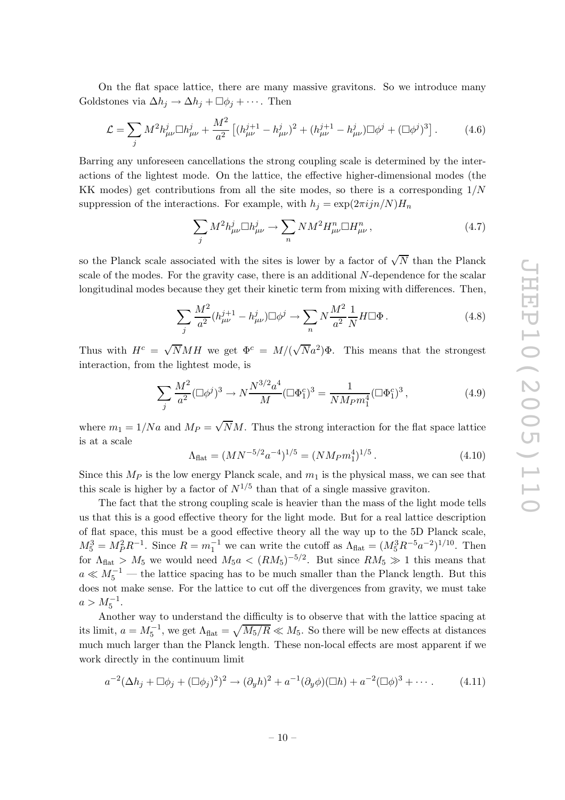On the flat space lattice, there are many massive gravitons. So we introduce many Goldstones via  $\Delta h_j \to \Delta h_j + \Box \phi_j + \cdots$ . Then

$$
\mathcal{L} = \sum_{j} M^{2} h_{\mu\nu}^{j} \Box h_{\mu\nu}^{j} + \frac{M^{2}}{a^{2}} \left[ (h_{\mu\nu}^{j+1} - h_{\mu\nu}^{j})^{2} + (h_{\mu\nu}^{j+1} - h_{\mu\nu}^{j}) \Box \phi^{j} + (\Box \phi^{j})^{3} \right]. \tag{4.6}
$$

Barring any unforeseen cancellations the strong coupling scale is determined by the interactions of the lightest mode. On the lattice, the effective higher-dimensional modes (the KK modes) get contributions from all the site modes, so there is a corresponding 1/N suppression of the interactions. For example, with  $h_j = \exp(2\pi i j n/N)H_n$ 

$$
\sum_{j} M^{2} h_{\mu\nu}^{j} \Box h_{\mu\nu}^{j} \rightarrow \sum_{n} NM^{2} H_{\mu\nu}^{n} \Box H_{\mu\nu}^{n} , \qquad (4.7)
$$

so the Planck scale associated with the sites is lower by a factor of  $\sqrt{N}$  than the Planck scale of the modes. For the gravity case, there is an additional N-dependence for the scalar longitudinal modes because they get their kinetic term from mixing with di fferences. Then,

$$
\sum_{j} \frac{M^2}{a^2} (h_{\mu\nu}^{j+1} - h_{\mu\nu}^j) \Box \phi^j \to \sum_n N \frac{M^2}{a^2} \frac{1}{N} H \Box \Phi \,. \tag{4.8}
$$

Thus with  $H^c = \sqrt{N}MH$  we get  $\Phi^c = M/(\sqrt{N}a^2)\Phi$ . This means that the strongest interaction, from the lightest mode, is

$$
\sum_{j} \frac{M^2}{a^2} (\Box \phi^j)^3 \to N \frac{N^{3/2} a^4}{M} (\Box \Phi_1^c)^3 = \frac{1}{N M_P m_1^4} (\Box \Phi_1^c)^3 , \tag{4.9}
$$

where  $m_1 = 1/Na$  and  $M_P = \sqrt{N}M$ . Thus the strong interaction for the flat space lattice is at a scale

$$
\Lambda_{\text{flat}} = (MN^{-5/2}a^{-4})^{1/5} = (NM_P m_1^4)^{1/5} \,. \tag{4.10}
$$

Since this  $M_P$  is the low energy Planck scale, and  $m_1$  is the physical mass, we can see that this scale is higher by a factor of  $N^{1/5}$  than that of a single massive graviton.

The fact that the strong coupling scale is heavier than the mass of the light mode tells us that this is a good e ffective theory for the light mode. But for a real lattice description of flat space, this must be a good e ffective theory all the way up to the 5D Planck scale,  $M_5^3 = M_P^2 R^{-1}$ . Since  $R = m_1^{-1}$  we can write the cutoff as  $\Lambda_{\text{flat}} = (M_5^3 R^{-5} a^{-2})^{1/10}$ . Then for  $\Lambda_{\text{flat}} > M_5$  we would need  $M_5a < (RM_5)^{-5/2}$ . But since  $RM_5 \gg 1$  this means that  $a \ll M_5^{-1}$  — the lattice spacing has to be much smaller than the Planck length. But this does not make sense. For the lattice to cut o ff the divergences from gravity, we must take  $a > M_5^{-1}$ .

Another way to understand the di fficulty is to observe that with the lattice spacing at its limit,  $a = M_5^{-1}$ , we get  $\Lambda_{\text{flat}} = \sqrt{M_5/R} \ll M_5$ . So there will be new effects at distances much much larger than the Planck length. These non-local e ffects are most apparent if we work directly in the continuum limit

$$
a^{-2}(\Delta h_j + \Box \phi_j + (\Box \phi_j)^2)^2 \to (\partial_y h)^2 + a^{-1}(\partial_y \phi)(\Box h) + a^{-2}(\Box \phi)^3 + \cdots
$$
 (4.11)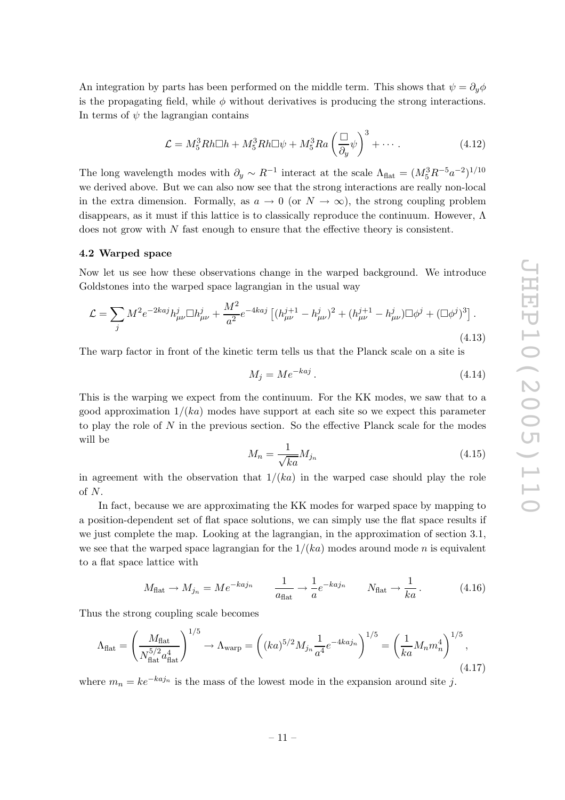<span id="page-12-0"></span>An integration by parts has been performed on the middle term. This shows that  $\psi = \partial_y \phi$ is the propagating field, while  $\phi$  without derivatives is producing the strong interactions. In terms of  $\psi$  the lagrangian contains

$$
\mathcal{L} = M_5^3 R h \Box h + M_5^3 R h \Box \psi + M_5^3 R a \left(\frac{\Box}{\partial_y} \psi\right)^3 + \cdots. \tag{4.12}
$$

The long wavelength modes with  $\partial_y \sim R^{-1}$  interact at the scale  $\Lambda_{\text{flat}} = (M_5^3 R^{-5} a^{-2})^{1/10}$ we derived above. But we can also now see that the strong interactions are really non-local in the extra dimension. Formally, as  $a \to 0$  (or  $N \to \infty$ ), the strong coupling problem disappears, as it must if this lattice is to classically reproduce the continuum. However, Λ does not grow with N fast enough to ensure that the effective theory is consistent.

#### 4.2 Warped space

Now let us see how these observations change in the warped background. We introduce Goldstones into the warped space lagrangian in the usual way

$$
\mathcal{L} = \sum_{j} M^{2} e^{-2kaj} h^{j}_{\mu\nu} \Box h^{j}_{\mu\nu} + \frac{M^{2}}{a^{2}} e^{-4kaj} \left[ (h^{j+1}_{\mu\nu} - h^{j}_{\mu\nu})^{2} + (h^{j+1}_{\mu\nu} - h^{j}_{\mu\nu}) \Box \phi^{j} + (\Box \phi^{j})^{3} \right].
$$
\n(4.13)

The warp factor in front of the kinetic term tells us that the Planck scale on a site is

$$
M_j = Me^{-kaj} \tag{4.14}
$$

This is the warping we expect from the continuum. For the KK modes, we saw that to a good approximation  $1/(ka)$  modes have support at each site so we expect this parameter to play the role of N in the previous section. So the e ffective Planck scale for the modes will be

$$
M_n = \frac{1}{\sqrt{ka}} M_{j_n} \tag{4.15}
$$

in agreement with the observation that  $1/(ka)$  in the warped case should play the role of N .

In fact, because we are approximating the KK modes for warped space by mapping to a position-dependent set of flat space solutions, we can simply use the flat space results if we just complete the map. Looking at the lagrangian, in the approximation of section [3.1,](#page-5-0) we see that the warped space lagrangian for the  $1/(ka)$  modes around mode n is equivalent to a flat space lattice with

$$
M_{\text{flat}} \to M_{j_n} = Me^{-kaj_n} \qquad \frac{1}{a_{\text{flat}}} \to \frac{1}{a} e^{-kaj_n} \qquad N_{\text{flat}} \to \frac{1}{ka} \,. \tag{4.16}
$$

Thus the strong coupling scale becomes

$$
\Lambda_{\text{flat}} = \left(\frac{M_{\text{flat}}}{N_{\text{flat}}^{5/2} a_{\text{flat}}^4}\right)^{1/5} \to \Lambda_{\text{warp}} = \left((ka)^{5/2} M_{j_n} \frac{1}{a^4} e^{-4ka j_n}\right)^{1/5} = \left(\frac{1}{ka} M_n m_n^4\right)^{1/5},\tag{4.17}
$$

where  $m_n = ke^{-k a j_n}$  is the mass of the lowest mode in the expansion around site j.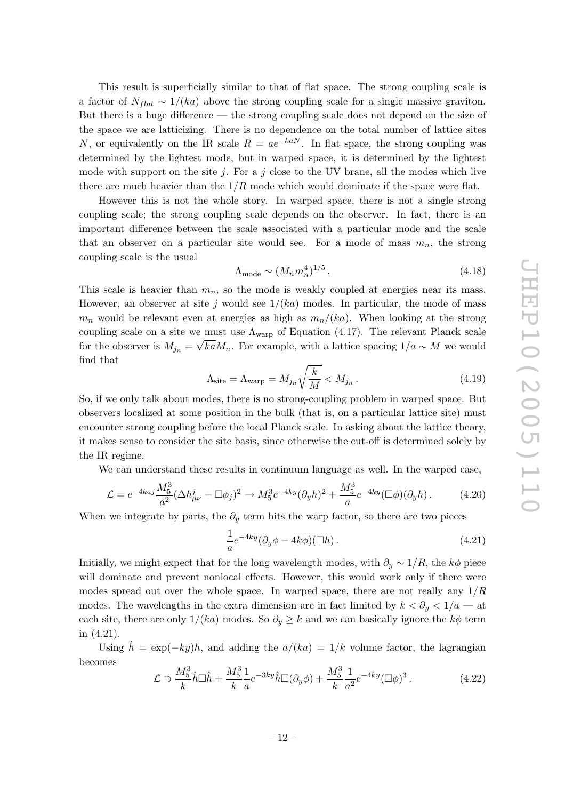This result is superficially similar to that of flat space. The strong coupling scale is a factor of  $N_{flat} \sim 1/(ka)$  above the strong coupling scale for a single massive graviton. But there is a huge di fference — the strong coupling scale does not depend on the size of the space we are latticizing. There is no dependence on the total number of lattice sites N, or equivalently on the IR scale  $R = ae^{-kaN}$ . In flat space, the strong coupling was determined by the lightest mode, but in warped space, it is determined by the lightest mode with support on the site  $j$ . For a  $j$  close to the UV brane, all the modes which live there are much heavier than the  $1/R$  mode which would dominate if the space were flat.

However this is not the whole story. In warped space, there is not a single strong coupling scale; the strong coupling scale depends on the observer. In fact, there is an important di fference between the scale associated with a particular mode and the scale that an observer on a particular site would see. For a mode of mass  $m_n$ , the strong coupling scale is the usual

$$
\Lambda_{\text{mode}} \sim (M_n m_n^4)^{1/5} \,. \tag{4.18}
$$

This scale is heavier than  $m_n$ , so the mode is weakly coupled at energies near its mass. However, an observer at site j would see  $1/(ka)$  modes. In particular, the mode of mass  $m_n$  would be relevant even at energies as high as  $m_n/(ka)$ . When looking at the strong coupling scale on a site we must use  $\Lambda_{\rm warp}$  of Equation [\(4.17\)](#page-12-0). The relevant Planck scale for the observer is  $M_{j_n} = \sqrt{k a} M_n$ . For example, with a lattice spacing  $1/a \sim M$  we would find that

$$
\Lambda_{\text{site}} = \Lambda_{\text{warp}} = M_{j_n} \sqrt{\frac{k}{M}} < M_{j_n} \,. \tag{4.19}
$$

So, if we only talk about modes, there is no strong-coupling problem in warped space. But observers localized at some position in the bulk (that is, on a particular lattice site) must encounter strong coupling before the local Planck scale. In asking about the lattice theory, it makes sense to consider the site basis, since otherwise the cut-o ff is determined solely by the IR regime.

We can understand these results in continuum language as well. In the warped case,

$$
\mathcal{L} = e^{-4kaj} \frac{M_5^3}{a^2} (\Delta h_{\mu\nu}^j + \Box \phi_j)^2 \to M_5^3 e^{-4ky} (\partial_y h)^2 + \frac{M_5^3}{a} e^{-4ky} (\Box \phi)(\partial_y h). \tag{4.20}
$$

When we integrate by parts, the  $\partial_y$  term hits the warp factor, so there are two pieces

$$
\frac{1}{a}e^{-4ky}(\partial_y\phi - 4k\phi)(\Box h). \tag{4.21}
$$

Initially, we might expect that for the long wavelength modes, with  $\partial_y \sim 1/R$ , the  $k\phi$  piece will dominate and prevent nonlocal e ffects. However, this would work only if there were modes spread out over the whole space. In warped space, there are not really any  $1/R$ modes. The wavelengths in the extra dimension are in fact limited by  $k < \partial_y < 1/a$  — at each site, there are only  $1/(ka)$  modes. So  $\partial_y \geq k$  and we can basically ignore the  $k\phi$  term in (4.21).

Using  $\hat{h} = \exp(-ky)h$ , and adding the  $a/(ka) = 1/k$  volume factor, the lagrangian becomes

$$
\mathcal{L} \supset \frac{M_5^3}{k} \hat{h} \Box \hat{h} + \frac{M_5^3}{k} \frac{1}{a} e^{-3ky} \hat{h} \Box (\partial_y \phi) + \frac{M_5^3}{k} \frac{1}{a^2} e^{-4ky} (\Box \phi)^3. \tag{4.22}
$$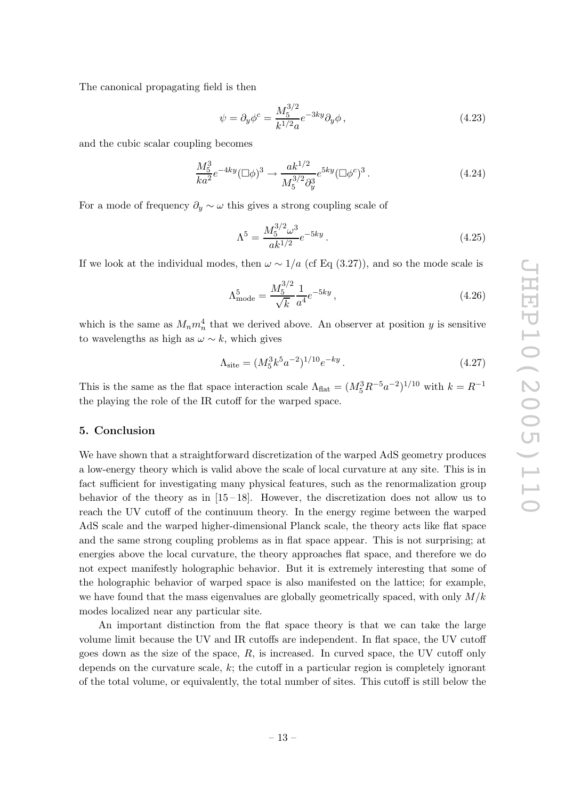<span id="page-14-0"></span>The canonical propagating field is then

$$
\psi = \partial_y \phi^c = \frac{M_5^{3/2}}{k^{1/2} a} e^{-3ky} \partial_y \phi \,, \tag{4.23}
$$

and the cubic scalar coupling becomes

$$
\frac{M_5^3}{ka^2}e^{-4ky}(\Box\phi)^3 \to \frac{ak^{1/2}}{M_5^{3/2}\partial_y^3}e^{5ky}(\Box\phi^c)^3.
$$
\n(4.24)

For a mode of frequency  $\partial_y \sim \omega$  this gives a strong coupling scale of

$$
\Lambda^5 = \frac{M_5^{3/2} \omega^3}{ak^{1/2}} e^{-5ky} . \tag{4.25}
$$

If we look at the individual modes, then  $\omega \sim 1/a$  (cf Eq ([3.27](#page-9-0))), and so the mode scale is

$$
\Lambda_{\rm mode}^5 = \frac{M_5^{3/2}}{\sqrt{k}} \frac{1}{a^4} e^{-5ky},\tag{4.26}
$$

which is the same as  $M_n m_n^4$  that we derived above. An observer at position y is sensitive to wavelengths as high as  $\omega \sim k$ , which gives

$$
\Lambda_{\text{site}} = (M_5^3 k^5 a^{-2})^{1/10} e^{-ky}.
$$
\n(4.27)

This is the same as the flat space interaction scale  $\Lambda_{\text{flat}} = (M_5^3 R^{-5} a^{-2})^{1/10}$  with  $k = R^{-1}$ the playing the role of the IR cuto ff for the warped space.

#### 5. Conclusion

We have shown that a straightforward discretization of the warped AdS geometry produces a low-energy theory which is valid above the scale of local curvature at any site. This is in fact su fficient for investigating many physical features, such as the renormalization group behavior of the theory as in  $[15-18]$  $[15-18]$ . However, the discretization does not allow us to reach the UV cuto ff of the continuum theory. In the energy regime between the warped AdS scale and the warped higher-dimensional Planck scale, the theory acts like flat space and the same strong coupling problems as in flat space appear. This is not surprising; at energies above the local curvature, the theory approaches flat space, and therefore we do not expect manifestly holographic behavior. But it is extremely interesting that some of the holographic behavior of warped space is also manifested on the lattice; for example, we have found that the mass eigenvalues are globally geometrically spaced, with only  $M/k$ modes localized near any particular site.

An important distinction from the flat space theory is that we can take the large volume limit because the UV and IR cuto ffs are independent. In flat space, the UV cuto ff goes down as the size of the space,  $R$ , is increased. In curved space, the UV cutoff only depends on the curvature scale, k; the cutoff in a particular region is completely ignorant of the total volume, or equivalently, the total number of sites. This cuto ff is still below the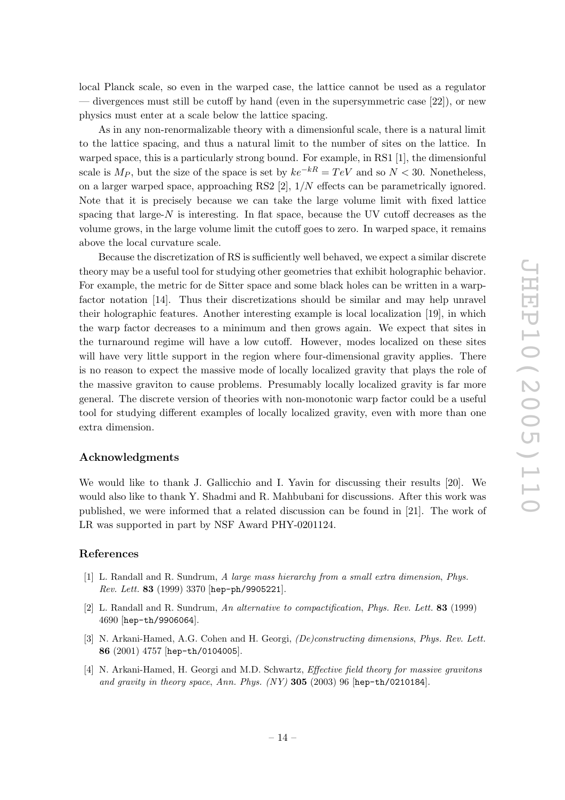<span id="page-15-0"></span>local Planck scale, so even in the warped case, the lattice cannot be used as a regulator — divergences must still be cuto ff by hand (even in the supersymmetric case [\[22\]](#page-16-0)), or new physics must enter at a scale below the lattice spacing.

As in any non-renormalizable theory with a dimensionful scale, there is a natural limit to the lattice spacing, and thus a natural limit to the number of sites on the lattice. In warped space, this is a particularly strong bound. For example, in RS1 [1], the dimensionful scale is  $M_P$ , but the size of the space is set by  $ke^{-kR} = TeV$  and so  $N < 30$ . Nonetheless, on a larger warped space, approaching RS2 [2], 1/N e ffects can be parametrically ignored. Note that it is precisely because we can take the large volume limit with fixed lattice spacing that large- $N$  is interesting. In flat space, because the UV cutoff decreases as the volume grows, in the large volume limit the cuto ff goes to zero. In warped space, it remains above the local curvature scale.

Because the discretization of RS is su fficiently well behaved, we expect a similar discrete theory may be a useful tool for studying other geometries that exhibit holographic behavior. For example, the metric for de Sitter space and some black holes can be written in a warpfactor notation [\[14](#page-16-0)]. Thus their discretizations should be similar and may help unravel their holographic features. Another interesting example is local localization [[19\]](#page-16-0), in which the warp factor decreases to a minimum and then grows again. We expect that sites in the turnaround regime will have a low cuto ff. However, modes localized on these sites will have very little support in the region where four-dimensional gravity applies. There is no reason to expect the massive mode of locally localized gravity that plays the role of the massive graviton to cause problems. Presumably locally localized gravity is far more general. The discrete version of theories with non-monotonic warp factor could be a useful tool for studying di fferent examples of locally localized gravity, even with more than one extra dimension.

#### Acknowledgments

We would like to thank J. Gallicchio and I. Yavin for discussing their results [[20](#page-16-0)]. We would also like to thank Y. Shadmi and R. Mahbubani for discussions. After this work was published, we were informed that a related discussion can be found in [[21\]](#page-16-0). The work of LR was supported in part by NSF Award PHY-0201124.

#### References

- [1] L. Randall and R. Sundrum, A large mass hierarchy from a small extra dimension , [Phys.](http://www-spires.slac.stanford.edu/spires/find/hep/www?j=PRLTA%2C83%2C3370) Rev. Lett. 83 [\(1999\) 3370](http://www-spires.slac.stanford.edu/spires/find/hep/www?j=PRLTA%2C83%2C3370) [[hep-ph/9905221](http://xxx.lanl.gov/abs/hep-ph/9905221)].
- [2] L. Randall and R. Sundrum, An alternative to compactification , [Phys. Rev. Lett.](http://www-spires.slac.stanford.edu/spires/find/hep/www?j=PRLTA%2C83%2C4690) 83 (1999) [4690](http://www-spires.slac.stanford.edu/spires/find/hep/www?j=PRLTA%2C83%2C4690) [[hep-th/9906064](http://xxx.lanl.gov/abs/hep-th/9906064)].
- [3] N. Arkani-Hamed, A.G. Cohen and H. Georgi, (De)constructing dimensions, [Phys. Rev. Lett.](http://www-spires.slac.stanford.edu/spires/find/hep/www?j=PRLTA%2C86%2C4757) 86 [\(2001\) 4757](http://www-spires.slac.stanford.edu/spires/find/hep/www?j=PRLTA%2C86%2C4757) [[hep-th/0104005](http://xxx.lanl.gov/abs/hep-th/0104005)].
- [4] N. Arkani-Hamed, H. Georgi and M.D. Schwartz, *Effective field theory for massive gravitons* and gravity in theory space, Ann. Phys.  $(NY)$  305 (2003) 96 [[hep-th/0210184](http://xxx.lanl.gov/abs/hep-th/0210184)].